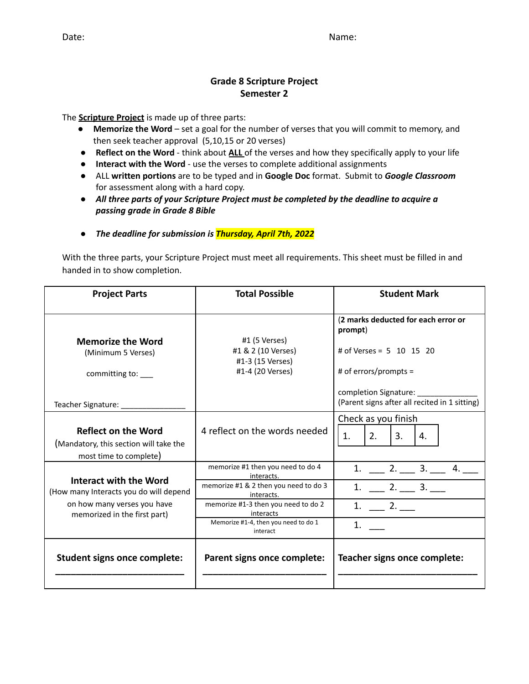#### **Grade 8 Scripture Project Semester 2**

The **Scripture Project** is made up of three parts:

- **Memorize the Word** set a goal for the number of verses that you will commit to memory, and then seek teacher approval (5,10,15 or 20 verses)
- **Reflect on the Word** think about **ALL** of the verses and how they specifically apply to your life
- **Interact with the Word** use the verses to complete additional assignments
- ALL **written portions** are to be typed and in **Google Doc** format. Submit to *Google Classroom* for assessment along with a hard copy.
- **●** *All three parts of your Scripture Project must be completed by the deadline to acquire a passing grade in Grade 8 Bible*
- **●** *The deadline for submission is Thursday, April 7th, 2022*

With the three parts, your Scripture Project must meet all requirements. This sheet must be filled in and handed in to show completion.

| <b>Project Parts</b>                                                                                                            | <b>Total Possible</b>                                                                                                                                                                                          | <b>Student Mark</b>                                                                                                                                                             |
|---------------------------------------------------------------------------------------------------------------------------------|----------------------------------------------------------------------------------------------------------------------------------------------------------------------------------------------------------------|---------------------------------------------------------------------------------------------------------------------------------------------------------------------------------|
| <b>Memorize the Word</b><br>(Minimum 5 Verses)<br>committing to:<br>Teacher Signature: _________                                | #1 (5 Verses)<br>#1 & 2 (10 Verses)<br>#1-3 (15 Verses)<br>#1-4 (20 Verses)                                                                                                                                    | (2 marks deducted for each error or<br>prompt)<br># of Verses = $5$ 10 15 20<br># of errors/prompts =<br>completion Signature:<br>(Parent signs after all recited in 1 sitting) |
| <b>Reflect on the Word</b><br>(Mandatory, this section will take the<br>most time to complete)                                  | 4 reflect on the words needed                                                                                                                                                                                  | Check as you finish<br>2.<br>3.<br>1.<br>4.                                                                                                                                     |
| Interact with the Word<br>(How many Interacts you do will depend<br>on how many verses you have<br>memorized in the first part) | memorize #1 then you need to do 4<br>interacts.<br>memorize #1 & 2 then you need to do 3<br>interacts.<br>memorize #1-3 then you need to do 2<br>interacts<br>Memorize #1-4, then you need to do 1<br>interact | $1. \_ 2. \_ 3. \_ 4. \_$<br>$1. \_ 2. \_ 3. \_$<br>$1. \_ 2. \_$<br>1.                                                                                                         |
| <b>Student signs once complete:</b>                                                                                             | Parent signs once complete:                                                                                                                                                                                    | Teacher signs once complete:                                                                                                                                                    |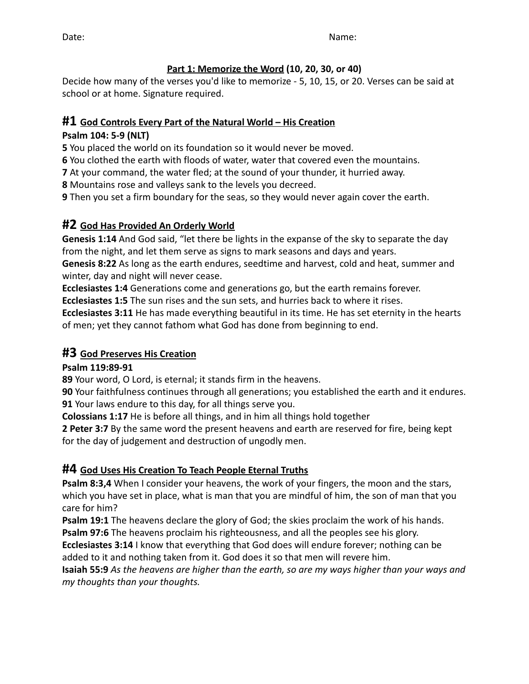### **Part 1: Memorize the Word (10, 20, 30, or 40)**

Decide how many of the verses you'd like to memorize - 5, 10, 15, or 20. Verses can be said at school or at home. Signature required.

### **#1 God Controls Every Part of the Natural World – His Creation**

### **Psalm 104: 5-9 (NLT)**

**5** You placed the world on its foundation so it would never be moved.

**6** You clothed the earth with floods of water, water that covered even the mountains.

**7** At your command, the water fled; at the sound of your thunder, it hurried away.

**8** Mountains rose and valleys sank to the levels you decreed.

**9** Then you set a firm boundary for the seas, so they would never again cover the earth.

## **#2 God Has Provided An Orderly World**

**Genesis 1:14** And God said, "let there be lights in the expanse of the sky to separate the day from the night, and let them serve as signs to mark seasons and days and years.

**Genesis 8:22** As long as the earth endures, seedtime and harvest, cold and heat, summer and winter, day and night will never cease.

**Ecclesiastes 1:4** Generations come and generations go, but the earth remains forever.

**Ecclesiastes 1:5** The sun rises and the sun sets, and hurries back to where it rises.

**Ecclesiastes 3:11** He has made everything beautiful in its time. He has set eternity in the hearts of men; yet they cannot fathom what God has done from beginning to end.

## **#3 God Preserves His Creation**

**Psalm 119:89-91**

**89** Your word, O Lord, is eternal; it stands firm in the heavens.

**90** Your faithfulness continues through all generations; you established the earth and it endures. **91** Your laws endure to this day, for all things serve you.

**Colossians 1:17** He is before all things, and in him all things hold together

**2 Peter 3:7** By the same word the present heavens and earth are reserved for fire, being kept for the day of judgement and destruction of ungodly men.

## **#4 God Uses His Creation To Teach People Eternal Truths**

**Psalm 8:3,4** When I consider your heavens, the work of your fingers, the moon and the stars, which you have set in place, what is man that you are mindful of him, the son of man that you care for him?

**Psalm 19:1** The heavens declare the glory of God; the skies proclaim the work of his hands. **Psalm 97:6** The heavens proclaim his righteousness, and all the peoples see his glory.

**Ecclesiastes 3:14** I know that everything that God does will endure forever; nothing can be added to it and nothing taken from it. God does it so that men will revere him.

**Isaiah 55:9** *As the heavens are higher than the earth, so are my ways higher than your ways and my thoughts than your thoughts.*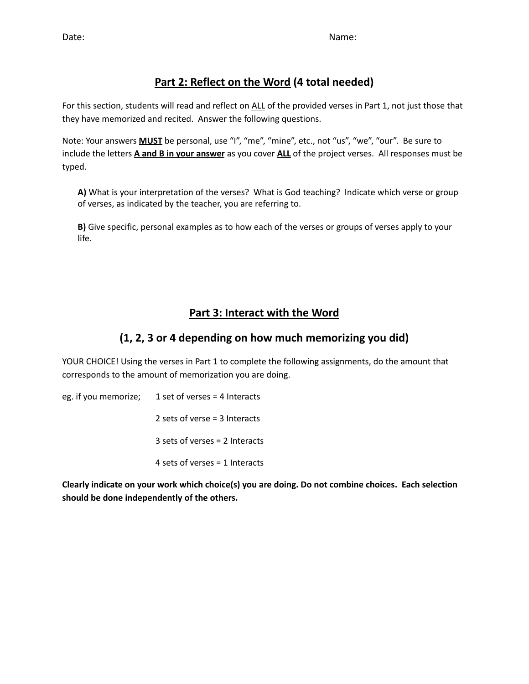## **Part 2: Reflect on the Word (4 total needed)**

For this section, students will read and reflect on ALL of the provided verses in Part 1, not just those that they have memorized and recited. Answer the following questions.

Note: Your answers **MUST** be personal, use "I", "me", "mine", etc., not "us", "we", "our". Be sure to include the letters **A and B in your answer** as you cover **ALL** of the project verses. All responses must be typed.

**A)** What is your interpretation of the verses? What is God teaching? Indicate which verse or group of verses, as indicated by the teacher, you are referring to.

**B)** Give specific, personal examples as to how each of the verses or groups of verses apply to your life.

## **Part 3: Interact with the Word**

## **(1, 2, 3 or 4 depending on how much memorizing you did)**

YOUR CHOICE! Using the verses in Part 1 to complete the following assignments, do the amount that corresponds to the amount of memorization you are doing.

eg. if you memorize; 1 set of verses = 4 Interacts sets of verse = 3 Interacts sets of verses = 2 Interacts sets of verses = 1 Interacts

**Clearly indicate on your work which choice(s) you are doing. Do not combine choices. Each selection should be done independently of the others.**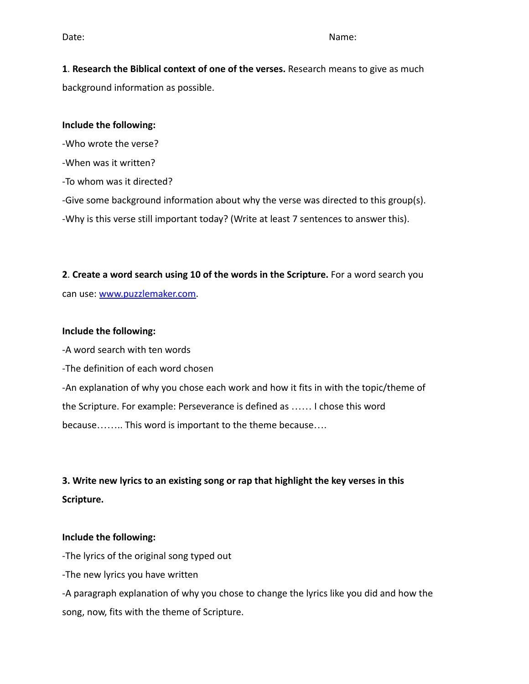**1**. **Research the Biblical context of one of the verses.** Research means to give as much background information as possible.

#### **Include the following:**

-Who wrote the verse?

-When was it written?

-To whom was it directed?

-Give some background information about why the verse was directed to this group(s).

-Why is this verse still important today? (Write at least 7 sentences to answer this).

**2**. **Create a word search using 10 of the words in the Scripture.** For a word search you can use: [www.puzzlemaker.com.](http://www.puzzlemaker.com)

#### **Include the following:**

-A word search with ten words

-The definition of each word chosen

-An explanation of why you chose each work and how it fits in with the topic/theme of the Scripture. For example: Perseverance is defined as …… I chose this word because…….. This word is important to the theme because….

# **3. Write new lyrics to an existing song or rap that highlight the key verses in this Scripture.**

#### **Include the following:**

-The lyrics of the original song typed out

-The new lyrics you have written

-A paragraph explanation of why you chose to change the lyrics like you did and how the song, now, fits with the theme of Scripture.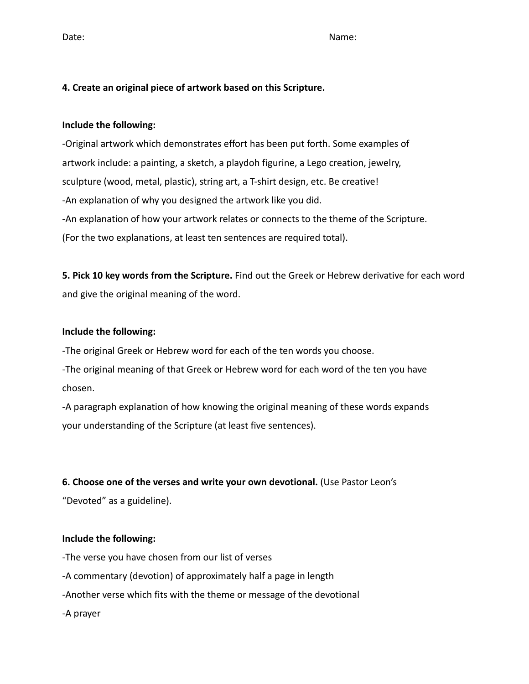Date: Name: Name: Name: Name: Name: Name: Name: Name: Name: Name: Name: Name: Name: Name: Name: Name: Name: Name: Name: Name: Name: Name: Name: Name: Name: Name: Name: Name: Name: Name: Name: Name: Name: Name: Name: Name:

#### **4. Create an original piece of artwork based on this Scripture.**

#### **Include the following:**

-Original artwork which demonstrates effort has been put forth. Some examples of artwork include: a painting, a sketch, a playdoh figurine, a Lego creation, jewelry, sculpture (wood, metal, plastic), string art, a T-shirt design, etc. Be creative! -An explanation of why you designed the artwork like you did. -An explanation of how your artwork relates or connects to the theme of the Scripture. (For the two explanations, at least ten sentences are required total).

**5. Pick 10 key words from the Scripture.** Find out the Greek or Hebrew derivative for each word and give the original meaning of the word.

#### **Include the following:**

-The original Greek or Hebrew word for each of the ten words you choose.

-The original meaning of that Greek or Hebrew word for each word of the ten you have chosen.

-A paragraph explanation of how knowing the original meaning of these words expands your understanding of the Scripture (at least five sentences).

#### **6. Choose one of the verses and write your own devotional.** (Use Pastor Leon's

"Devoted" as a guideline).

#### **Include the following:**

-The verse you have chosen from our list of verses

-A commentary (devotion) of approximately half a page in length

-Another verse which fits with the theme or message of the devotional

-A prayer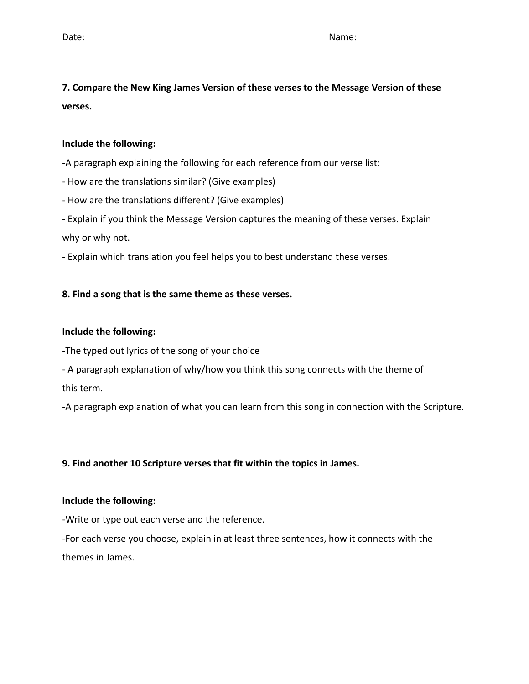Date: Name: Name: Name: Name: Name: Name: Name: Name: Name: Name: Name: Name: Name: Name: Name: Name: Name: Name: Name: Name: Name: Name: Name: Name: Name: Name: Name: Name: Name: Name: Name: Name: Name: Name: Name: Name:

**7. Compare the New King James Version of these verses to the Message Version of these verses.**

#### **Include the following:**

-A paragraph explaining the following for each reference from our verse list:

- How are the translations similar? (Give examples)

- How are the translations different? (Give examples)

- Explain if you think the Message Version captures the meaning of these verses. Explain why or why not.

- Explain which translation you feel helps you to best understand these verses.

#### **8. Find a song that is the same theme as these verses.**

#### **Include the following:**

-The typed out lyrics of the song of your choice

- A paragraph explanation of why/how you think this song connects with the theme of this term.

-A paragraph explanation of what you can learn from this song in connection with the Scripture.

#### **9. Find another 10 Scripture verses that fit within the topics in James.**

#### **Include the following:**

-Write or type out each verse and the reference.

-For each verse you choose, explain in at least three sentences, how it connects with the themes in James.